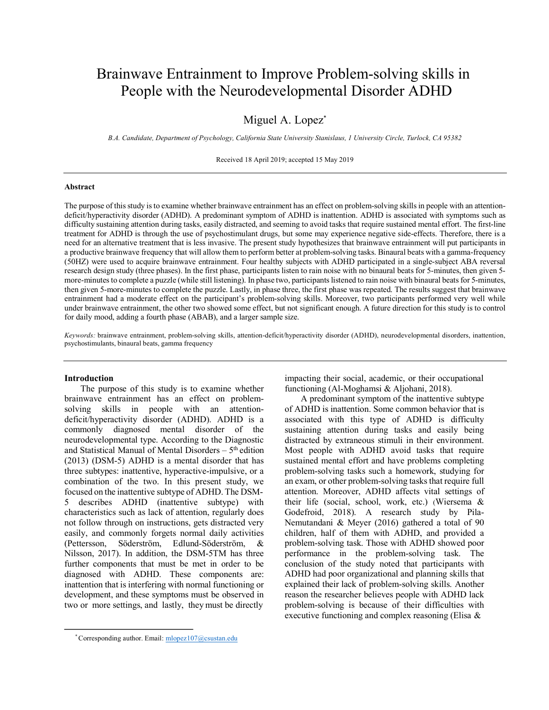# Brainwave Entrainment to Improve Problem-solving skills in People with the Neurodevelopmental Disorder ADHD

# Miguel A. Lopez<sup>\*</sup>

*B.A. Candidate, Department of Psychology, California State University Stanislaus, 1 University Circle, Turlock, CA 95382*

Received 18 April 2019; accepted 15 May 2019

#### **Abstract**

The purpose of thisstudy isto examine whether brainwave entrainment has an effect on problem-solving skillsin people with an attentiondeficit/hyperactivity disorder (ADHD). A predominant symptom of ADHD is inattention. ADHD is associated with symptoms such as difficulty sustaining attention during tasks, easily distracted, and seeming to avoid tasks that require sustained mental effort. The first-line treatment for ADHD is through the use of psychostimulant drugs, but some may experience negative side-effects. Therefore, there is a need for an alternative treatment that is less invasive. The present study hypothesizes that brainwave entrainment will put participants in a productive brainwave frequency that will allow them to perform better at problem-solving tasks. Binaural beats with a gamma-frequency (50HZ) were used to acquire brainwave entrainment. Four healthy subjects with ADHD participated in a single-subject ABA reversal research design study (three phases). In the first phase, participants listen to rain noise with no binaural beats for 5-minutes, then given 5 more-minutes to complete a puzzle (while still listening). In phase two, participants listened to rain noise with binaural beats for 5-minutes, then given 5-more-minutes to complete the puzzle. Lastly, in phase three, the first phase was repeated. The results suggest that brainwave entrainment had a moderate effect on the participant's problem-solving skills. Moreover, two participants performed very well while under brainwave entrainment, the other two showed some effect, but not significant enough. A future direction for this study is to control for daily mood, adding a fourth phase (ABAB), and a larger sample size.

*Keywords:* brainwave entrainment, problem-solving skills, attention-deficit/hyperactivity disorder (ADHD), neurodevelopmental disorders, inattention, psychostimulants, binaural beats, gamma frequency

#### **Introduction**

The purpose of this study is to examine whether brainwave entrainment has an effect on problemsolving skills in people with an attentiondeficit/hyperactivity disorder (ADHD). ADHD is a commonly diagnosed mental disorder of the neurodevelopmental type. According to the Diagnostic and Statistical Manual of Mental Disorders  $-5<sup>th</sup>$  edition (2013) (DSM-5) ADHD is a mental disorder that has three subtypes: inattentive, hyperactive-impulsive, or a combination of the two. In this present study, we focused on the inattentive subtype of ADHD. The DSM-5 describes ADHD (inattentive subtype) with characteristics such as lack of attention, regularly does not follow through on instructions, gets distracted very easily, and commonly forgets normal daily activities (Pettersson, Söderström, Edlund-Söderström, & Nilsson, 2017). In addition, the DSM-5TM has three further components that must be met in order to be diagnosed with ADHD. These components are: inattention that is interfering with normal functioning or development, and these symptoms must be observed in two or more settings, and lastly, they must be directly

impacting their social, academic, or their occupational functioning (Al-Moghamsi & Aljohani, 2018).

A predominant symptom of the inattentive subtype of ADHD is inattention. Some common behavior that is associated with this type of ADHD is difficulty sustaining attention during tasks and easily being distracted by extraneous stimuli in their environment. Most people with ADHD avoid tasks that require sustained mental effort and have problems completing problem-solving tasks such a homework, studying for an exam, or other problem-solving tasks that require full attention. Moreover, ADHD affects vital settings of their life (social, school, work, etc.) (Wiersema & Godefroid, 2018). A research study by Pila-Nemutandani & Meyer (2016) gathered a total of 90 children, half of them with ADHD, and provided a problem-solving task. Those with ADHD showed poor performance in the problem-solving task. The conclusion of the study noted that participants with ADHD had poor organizational and planning skills that explained their lack of problem-solving skills. Another reason the researcher believes people with ADHD lack problem-solving is because of their difficulties with executive functioning and complex reasoning (Elisa &

<sup>\*</sup> Corresponding author. Email: mlopez107@csustan.edu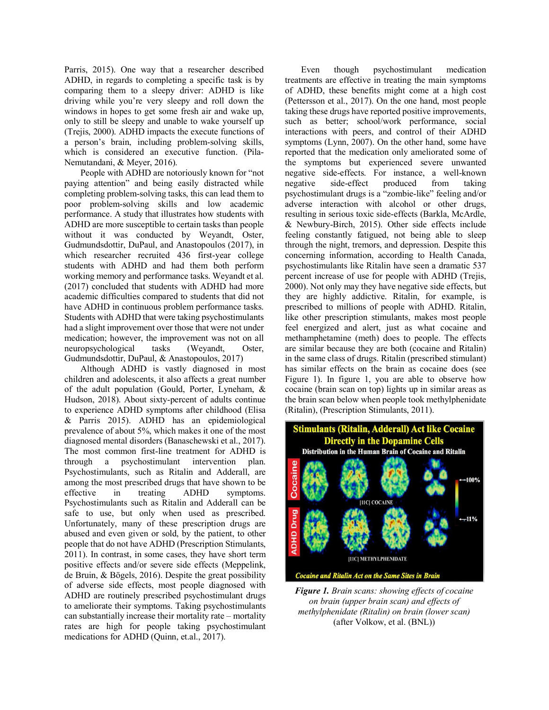Parris, 2015). One way that a researcher described ADHD, in regards to completing a specific task is by comparing them to a sleepy driver: ADHD is like driving while you're very sleepy and roll down the windows in hopes to get some fresh air and wake up, only to still be sleepy and unable to wake yourself up (Trejis, 2000). ADHD impacts the execute functions of a person's brain, including problem-solving skills, which is considered an executive function. (Pila-Nemutandani, & Meyer, 2016).

People with ADHD are notoriously known for "not paying attention" and being easily distracted while completing problem-solving tasks, this can lead them to poor problem-solving skills and low academic performance. A study that illustrates how students with ADHD are more susceptible to certain tasks than people without it was conducted by Weyandt, Oster, Gudmundsdottir, DuPaul, and Anastopoulos (2017), in which researcher recruited 436 first-year college students with ADHD and had them both perform working memory and performance tasks. Weyandt et al. (2017) concluded that students with ADHD had more academic difficulties compared to students that did not have ADHD in continuous problem performance tasks. Students with ADHD that were taking psychostimulants had a slight improvement over those that were not under medication; however, the improvement was not on all neuropsychological tasks (Weyandt, Oster, Gudmundsdottir, DuPaul, & Anastopoulos, 2017)

Although ADHD is vastly diagnosed in most children and adolescents, it also affects a great number of the adult population (Gould, Porter, Lyneham, & Hudson, 2018). About sixty-percent of adults continue to experience ADHD symptoms after childhood (Elisa & Parris 2015). ADHD has an epidemiological prevalence of about 5%, which makes it one of the most diagnosed mental disorders (Banaschewski et al., 2017). The most common first-line treatment for ADHD is through a psychostimulant intervention plan. Psychostimulants, such as Ritalin and Adderall, are among the most prescribed drugs that have shown to be effective in treating ADHD symptoms. Psychostimulants such as Ritalin and Adderall can be safe to use, but only when used as prescribed. Unfortunately, many of these prescription drugs are abused and even given or sold, by the patient, to other people that do not have ADHD (Prescription Stimulants, 2011). In contrast, in some cases, they have short term positive effects and/or severe side effects (Meppelink, de Bruin, & Bögels, 2016). Despite the great possibility of adverse side effects, most people diagnosed with ADHD are routinely prescribed psychostimulant drugs to ameliorate their symptoms. Taking psychostimulants can substantially increase their mortality rate – mortality rates are high for people taking psychostimulant medications for ADHD (Quinn, et.al., 2017).

Even though psychostimulant medication treatments are effective in treating the main symptoms of ADHD, these benefits might come at a high cost (Pettersson et al., 2017). On the one hand, most people taking these drugs have reported positive improvements, such as better; school/work performance, social interactions with peers, and control of their ADHD symptoms (Lynn, 2007). On the other hand, some have reported that the medication only ameliorated some of the symptoms but experienced severe unwanted negative side-effects. For instance, a well-known negative side-effect produced from taking psychostimulant drugs is a "zombie-like" feeling and/or adverse interaction with alcohol or other drugs, resulting in serious toxic side-effects (Barkla, McArdle, & Newbury-Birch, 2015). Other side effects include feeling constantly fatigued, not being able to sleep through the night, tremors, and depression. Despite this concerning information, according to Health Canada, psychostimulants like Ritalin have seen a dramatic 537 percent increase of use for people with ADHD (Trejis, 2000). Not only may they have negative side effects, but they are highly addictive. Ritalin, for example, is prescribed to millions of people with ADHD. Ritalin, like other prescription stimulants, makes most people feel energized and alert, just as what cocaine and methamphetamine (meth) does to people. The effects are similar because they are both (cocaine and Ritalin) in the same class of drugs. Ritalin (prescribed stimulant) has similar effects on the brain as cocaine does (see Figure 1). In figure 1, you are able to observe how cocaine (brain scan on top) lights up in similar areas as the brain scan below when people took methylphenidate (Ritalin), (Prescription Stimulants, 2011).



*Figure 1. Brain scans: showing effects of cocaine on brain (upper brain scan) and effects of methylphenidate (Ritalin) on brain (lower scan)*  (after Volkow, et al. (BNL))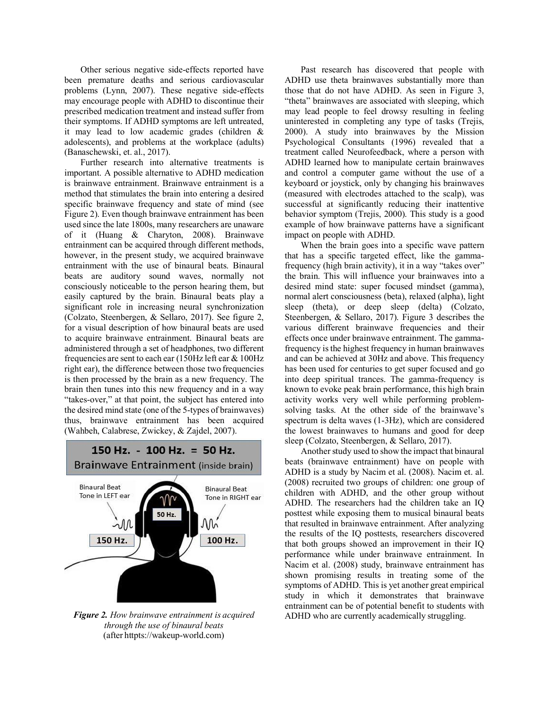Other serious negative side-effects reported have been premature deaths and serious cardiovascular problems (Lynn, 2007). These negative side-effects may encourage people with ADHD to discontinue their prescribed medication treatment and instead suffer from their symptoms. If ADHD symptoms are left untreated, it may lead to low academic grades (children & adolescents), and problems at the workplace (adults) (Banaschewski, et. al., 2017).

Further research into alternative treatments is important. A possible alternative to ADHD medication is brainwave entrainment. Brainwave entrainment is a method that stimulates the brain into entering a desired specific brainwave frequency and state of mind (see Figure 2). Even though brainwave entrainment has been used since the late 1800s, many researchers are unaware of it (Huang & Charyton, 2008). Brainwave entrainment can be acquired through different methods, however, in the present study, we acquired brainwave entrainment with the use of binaural beats. Binaural beats are auditory sound waves, normally not consciously noticeable to the person hearing them, but easily captured by the brain. Binaural beats play a significant role in increasing neural synchronization (Colzato, Steenbergen, & Sellaro, 2017). See figure 2, for a visual description of how binaural beats are used to acquire brainwave entrainment. Binaural beats are administered through a set of headphones, two different frequencies are sent to each ear (150Hz left ear & 100Hz right ear), the difference between those two frequencies is then processed by the brain as a new frequency. The brain then tunes into this new frequency and in a way "takes-over," at that point, the subject has entered into the desired mind state (one of the 5-types of brainwaves) thus, brainwave entrainment has been acquired (Wahbeh, Calabrese, Zwickey, & Zajdel, 2007).



*Figure 2. How brainwave entrainment is acquired through the use of binaural beats* (after httpts://wakeup-world.com)

Past research has discovered that people with ADHD use theta brainwaves substantially more than those that do not have ADHD. As seen in Figure 3, "theta" brainwaves are associated with sleeping, which may lead people to feel drowsy resulting in feeling uninterested in completing any type of tasks (Trejis, 2000). A study into brainwaves by the Mission Psychological Consultants (1996) revealed that a treatment called Neurofeedback, where a person with ADHD learned how to manipulate certain brainwaves and control a computer game without the use of a keyboard or joystick, only by changing his brainwaves (measured with electrodes attached to the scalp), was successful at significantly reducing their inattentive behavior symptom (Trejis, 2000). This study is a good example of how brainwave patterns have a significant impact on people with ADHD.

When the brain goes into a specific wave pattern that has a specific targeted effect, like the gammafrequency (high brain activity), it in a way "takes over" the brain. This will influence your brainwaves into a desired mind state: super focused mindset (gamma), normal alert consciousness (beta), relaxed (alpha), light sleep (theta), or deep sleep (delta) (Colzato, Steenbergen, & Sellaro, 2017). Figure 3 describes the various different brainwave frequencies and their effects once under brainwave entrainment. The gammafrequency isthe highest frequency in human brainwaves and can be achieved at 30Hz and above. Thisfrequency has been used for centuries to get super focused and go into deep spiritual trances. The gamma-frequency is known to evoke peak brain performance, this high brain activity works very well while performing problemsolving tasks. At the other side of the brainwave's spectrum is delta waves (1-3Hz), which are considered the lowest brainwaves to humans and good for deep sleep (Colzato, Steenbergen, & Sellaro, 2017).

Another study used to show the impact that binaural beats (brainwave entrainment) have on people with ADHD is a study by Nacim et al. (2008). Nacim et. al. (2008) recruited two groups of children: one group of children with ADHD, and the other group without ADHD. The researchers had the children take an IQ posttest while exposing them to musical binaural beats that resulted in brainwave entrainment. After analyzing the results of the IQ posttests, researchers discovered that both groups showed an improvement in their IQ performance while under brainwave entrainment. In Nacim et al. (2008) study, brainwave entrainment has shown promising results in treating some of the symptoms of ADHD. This is yet another great empirical study in which it demonstrates that brainwave entrainment can be of potential benefit to students with ADHD who are currently academically struggling.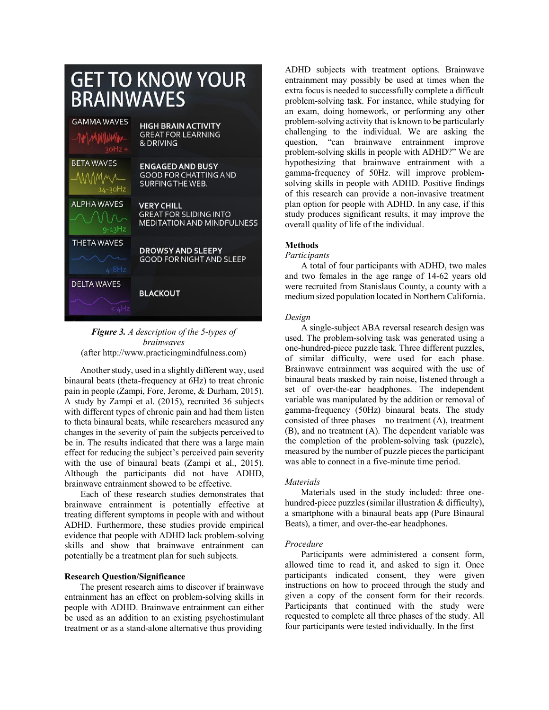| <b>GET TO KNOW YOUR</b><br>BRAINWAVES |                                                                                         |
|---------------------------------------|-----------------------------------------------------------------------------------------|
| <b>GAMMA WAVES</b>                    | <b>HIGH BRAIN ACTIVITY</b>                                                              |
| -NMWywymwy                            | <b>GREAT FOR LEARNING</b>                                                               |
| $20Hz +$                              | & DRIVING                                                                               |
| <b>BETA WAVES</b>                     | <b>ENGAGED AND BUSY</b>                                                                 |
| MMMM                                  | <b>GOOD FOR CHATTING AND</b>                                                            |
| $14 - 30$ Hz                          | <b>SURFING THE WEB.</b>                                                                 |
| <b>ALPHA WAVES</b><br>$9 - 13$ Hz     | <b>VERY CHILL</b><br><b>GREAT FOR SLIDING INTO</b><br><b>MEDITATION AND MINDFULNESS</b> |
| <b>THETA WAVES</b>                    | <b>DROWSY AND SLEEPY</b>                                                                |
| $4-8Hz$                               | <b>GOOD FOR NIGHT AND SLEEP</b>                                                         |
| <b>DELTA WAVES</b><br>4Hz             | <b>BLACKOUT</b>                                                                         |

# *Figure 3. A description of the 5-types of brainwaves* (after http://www.practicingmindfulness.com)

Another study, used in a slightly different way, used binaural beats (theta-frequency at 6Hz) to treat chronic pain in people (Zampi, Fore, Jerome, & Durham, 2015). A study by Zampi et al. (2015), recruited 36 subjects with different types of chronic pain and had them listen to theta binaural beats, while researchers measured any changes in the severity of pain the subjects perceived to be in. The results indicated that there was a large main effect for reducing the subject's perceived pain severity with the use of binaural beats (Zampi et al., 2015). Although the participants did not have ADHD, brainwave entrainment showed to be effective.

Each of these research studies demonstrates that brainwave entrainment is potentially effective at treating different symptoms in people with and without ADHD. Furthermore, these studies provide empirical evidence that people with ADHD lack problem-solving skills and show that brainwave entrainment can potentially be a treatment plan for such subjects.

# **Research Question/Significance**

The present research aims to discover if brainwave entrainment has an effect on problem-solving skills in people with ADHD. Brainwave entrainment can either be used as an addition to an existing psychostimulant treatment or as a stand-alone alternative thus providing

ADHD subjects with treatment options. Brainwave entrainment may possibly be used at times when the extra focusis needed to successfully complete a difficult problem-solving task. For instance, while studying for an exam, doing homework, or performing any other problem-solving activity that is known to be particularly challenging to the individual. We are asking the question, "can brainwave entrainment improve problem-solving skills in people with ADHD?" We are hypothesizing that brainwave entrainment with a gamma-frequency of 50Hz. will improve problemsolving skills in people with ADHD. Positive findings of this research can provide a non-invasive treatment plan option for people with ADHD. In any case, if this study produces significant results, it may improve the overall quality of life of the individual.

#### **Methods**

#### *Participants*

A total of four participants with ADHD, two males and two females in the age range of 14-62 years old were recruited from Stanislaus County, a county with a medium sized population located in Northern California.

# *Design*

A single-subject ABA reversal research design was used. The problem-solving task was generated using a one-hundred-piece puzzle task. Three different puzzles, of similar difficulty, were used for each phase. Brainwave entrainment was acquired with the use of binaural beats masked by rain noise, listened through a set of over-the-ear headphones. The independent variable was manipulated by the addition or removal of gamma-frequency (50Hz) binaural beats. The study consisted of three phases  $-$  no treatment  $(A)$ , treatment (B), and no treatment (A). The dependent variable was the completion of the problem-solving task (puzzle), measured by the number of puzzle pieces the participant was able to connect in a five-minute time period.

#### *Materials*

Materials used in the study included: three onehundred-piece puzzles (similar illustration & difficulty), a smartphone with a binaural beats app (Pure Binaural Beats), a timer, and over-the-ear headphones.

# *Procedure*

Participants were administered a consent form, allowed time to read it, and asked to sign it. Once participants indicated consent, they were given instructions on how to proceed through the study and given a copy of the consent form for their records. Participants that continued with the study were requested to complete all three phases of the study. All four participants were tested individually. In the first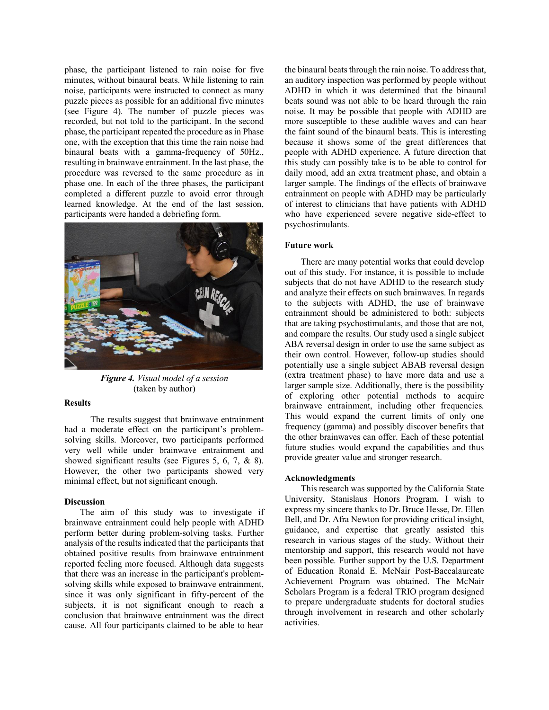phase, the participant listened to rain noise for five minutes, without binaural beats. While listening to rain noise, participants were instructed to connect as many puzzle pieces as possible for an additional five minutes (see Figure 4). The number of puzzle pieces was recorded, but not told to the participant. In the second phase, the participant repeated the procedure as in Phase one, with the exception that this time the rain noise had binaural beats with a gamma-frequency of 50Hz., resulting in brainwave entrainment. In the last phase, the procedure was reversed to the same procedure as in phase one. In each of the three phases, the participant completed a different puzzle to avoid error through learned knowledge. At the end of the last session, participants were handed a debriefing form.



*Figure 4. Visual model of a session* (taken by author)

#### **Results**

The results suggest that brainwave entrainment had a moderate effect on the participant's problemsolving skills. Moreover, two participants performed very well while under brainwave entrainment and showed significant results (see Figures 5, 6, 7, & 8). However, the other two participants showed very minimal effect, but not significant enough.

#### **Discussion**

The aim of this study was to investigate if brainwave entrainment could help people with ADHD perform better during problem-solving tasks. Further analysis of the results indicated that the participants that obtained positive results from brainwave entrainment reported feeling more focused. Although data suggests that there was an increase in the participant's problemsolving skills while exposed to brainwave entrainment, since it was only significant in fifty-percent of the subjects, it is not significant enough to reach a conclusion that brainwave entrainment was the direct cause. All four participants claimed to be able to hear

the binaural beats through the rain noise. To address that, an auditory inspection was performed by people without ADHD in which it was determined that the binaural beats sound was not able to be heard through the rain noise. It may be possible that people with ADHD are more susceptible to these audible waves and can hear the faint sound of the binaural beats. This is interesting because it shows some of the great differences that people with ADHD experience. A future direction that this study can possibly take is to be able to control for daily mood, add an extra treatment phase, and obtain a larger sample. The findings of the effects of brainwave entrainment on people with ADHD may be particularly of interest to clinicians that have patients with ADHD who have experienced severe negative side-effect to psychostimulants.

#### **Future work**

There are many potential works that could develop out of this study. For instance, it is possible to include subjects that do not have ADHD to the research study and analyze their effects on such brainwaves. In regards to the subjects with ADHD, the use of brainwave entrainment should be administered to both: subjects that are taking psychostimulants, and those that are not, and compare the results. Our study used a single subject ABA reversal design in order to use the same subject as their own control. However, follow-up studies should potentially use a single subject ABAB reversal design (extra treatment phase) to have more data and use a larger sample size. Additionally, there is the possibility of exploring other potential methods to acquire brainwave entrainment, including other frequencies. This would expand the current limits of only one frequency (gamma) and possibly discover benefits that the other brainwaves can offer. Each of these potential future studies would expand the capabilities and thus provide greater value and stronger research.

# **Acknowledgments**

This research was supported by the California State University, Stanislaus Honors Program. I wish to express my sincere thanks to Dr. Bruce Hesse, Dr. Ellen Bell, and Dr. Afra Newton for providing critical insight, guidance, and expertise that greatly assisted this research in various stages of the study. Without their mentorship and support, this research would not have been possible. Further support by the U.S. Department of Education Ronald E. McNair Post-Baccalaureate Achievement Program was obtained. The McNair Scholars Program is a federal TRIO program designed to prepare undergraduate students for doctoral studies through involvement in research and other scholarly activities.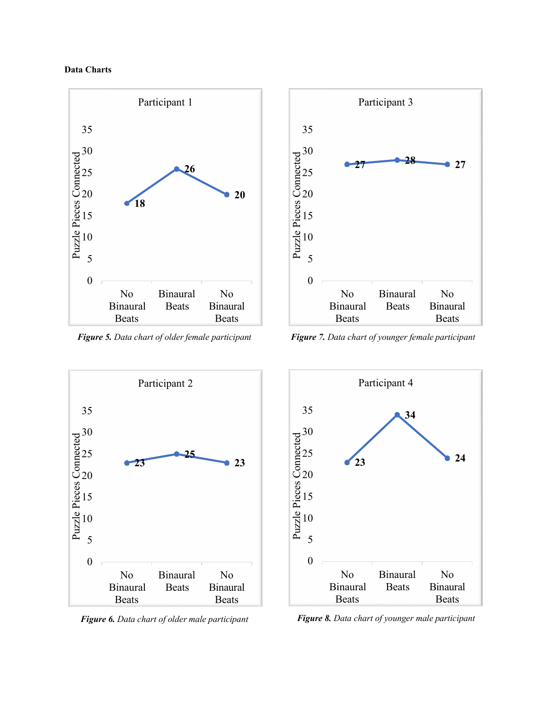





*Figure 5. Data chart of older female participant Figure 7. Data chart of younger female participant*





*Figure 6. Data chart of older male participant Figure 8. Data chart of younger male participant*